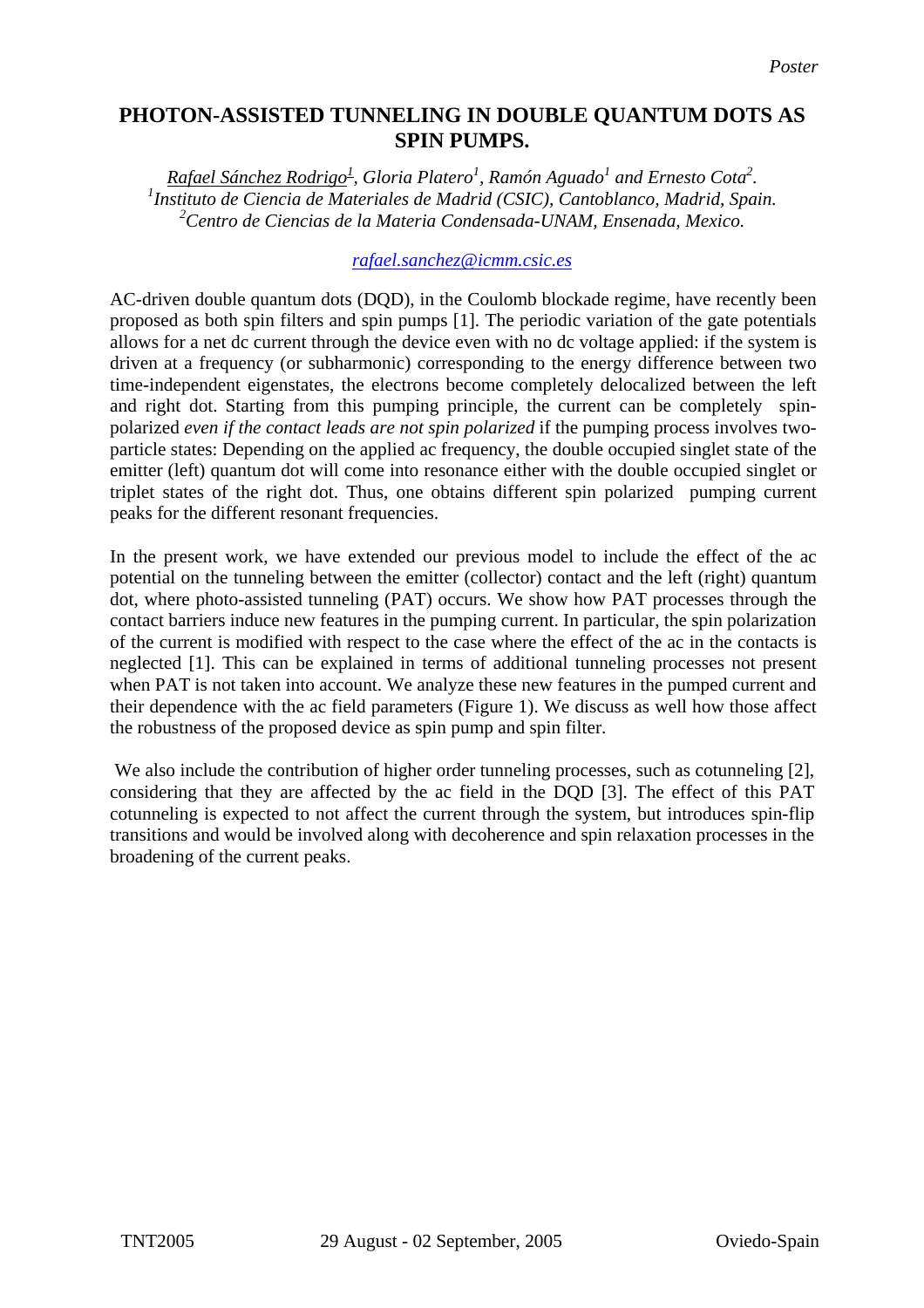# **PHOTON-ASSISTED TUNNELING IN DOUBLE QUANTUM DOTS AS SPIN PUMPS.**

*Rafael Sánchez Rodrigo<sup>1</sup>, Gloria Platero<sup>1</sup>, Ramón Aguado<sup>1</sup> and Ernesto Cota<sup>2</sup>.<br><sup>1</sup> Instituto de Giancia de Materiales de Madrid (CSIC), Canteblaneo, Madrid, Spai Instituto de Ciencia de Materiales de Madrid (CSIC), Cantoblanco, Madrid, Spain. 2 Centro de Ciencias de la Materia Condensada-UNAM, Ensenada, Mexico.* 

#### *[rafael.sanchez@icmm.csic.es](mailto:rafael.sanchez@icmm.csic.es)*

AC-driven double quantum dots (DQD), in the Coulomb blockade regime, have recently been proposed as both spin filters and spin pumps [1]. The periodic variation of the gate potentials allows for a net dc current through the device even with no dc voltage applied: if the system is driven at a frequency (or subharmonic) corresponding to the energy difference between two time-independent eigenstates, the electrons become completely delocalized between the left and right dot. Starting from this pumping principle, the current can be completely spinpolarized *even if the contact leads are not spin polarized* if the pumping process involves twoparticle states: Depending on the applied ac frequency, the double occupied singlet state of the emitter (left) quantum dot will come into resonance either with the double occupied singlet or triplet states of the right dot. Thus, one obtains different spin polarized pumping current peaks for the different resonant frequencies.

In the present work, we have extended our previous model to include the effect of the ac potential on the tunneling between the emitter (collector) contact and the left (right) quantum dot, where photo-assisted tunneling (PAT) occurs. We show how PAT processes through the contact barriers induce new features in the pumping current. In particular, the spin polarization of the current is modified with respect to the case where the effect of the ac in the contacts is neglected [1]. This can be explained in terms of additional tunneling processes not present when PAT is not taken into account. We analyze these new features in the pumped current and their dependence with the ac field parameters (Figure 1). We discuss as well how those affect the robustness of the proposed device as spin pump and spin filter.

We also include the contribution of higher order tunneling processes, such as cotunneling [2], considering that they are affected by the ac field in the DQD [3]. The effect of this PAT cotunneling is expected to not affect the current through the system, but introduces spin-flip transitions and would be involved along with decoherence and spin relaxation processes in the broadening of the current peaks.